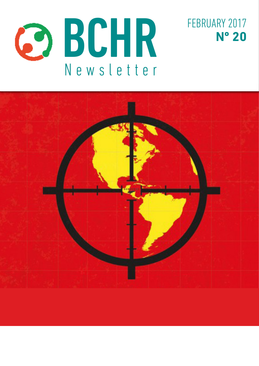



FEBRUARY 2017 **Nº 20**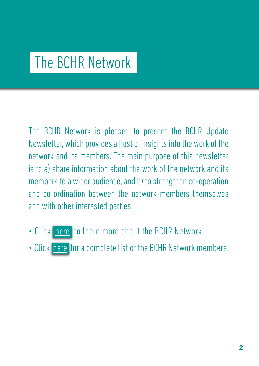# The BCHR Network

The BCHR Network is pleased to present the BCHR Update Newsletter, which provides a host of insights into the work of the network and its members. The main purpose of this newsletter is to a) share information about the work of the network and its members to a wider audience, and b) to strengthen co-operation and co-ordination between the network members themselves and with other interested parties.

- Click here to learn more about the BCHR Network.
- Click here for a complete list of the BCHR Network members.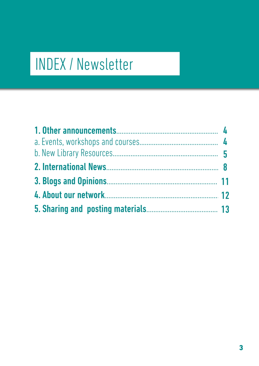# INDEX / Newsletter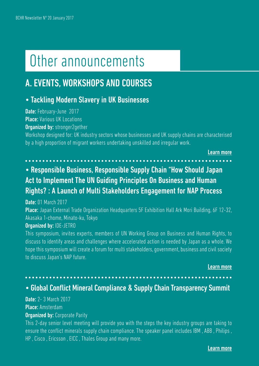# Other announcements

# A. EVENTS, WORKSHOPS AND COURSES

# • Tackling Modern Slavery in UK Businesses

Date: February-June 2017 Place: Various UK Locations **Organized by: stronger2gether** 

Workshop designed for: UK industry sectors whose businesses and UK supply chains are characterised by a high proportion of migrant workers undertaking unskilled and irregular work.

[Learn more](http://stronger2gether.org/training/)

# • Responsible Business, Responsible Supply Chain "How Should Japan Act to Implement The UN Guiding Principles On Business and Human Rights? : A Launch of Multi Stakeholders Engagement for NAP Process

**Date: 01 March 2017** 

Place: Japan External Trade Organization Headquarters 5F Exhibition Hall Ark Mori Building, 6F 12-32, Akasaka 1-chome, Minato-ku, Tokyo

#### Organized by: IDE-JETRO

This symposium, invites experts, members of UN Working Group on Business and Human Rights, to discuss to identify areas and challenges where accelerated action is needed by Japan as a whole. We hope this symposium will create a forum for multi stakeholders, government, business and civil society to discuss Japan's NAP future.

[Learn more](http://tinyurl.com/jlhkmso)

### • Global Conflict Mineral Compliance & Supply Chain Transparency Summit

#### **Date: 2-3 March 2017** Place: Amsterdam **Organized by: Corporate Parity**

This 2-day senior level meeting will provide you with the steps the key industry groups are taking to ensure the conflict minerals supply chain compliance. The speaker panel includes IBM , ABB , Philips , HP , Cisco , Ericsson , EICC , Thales Group and many more.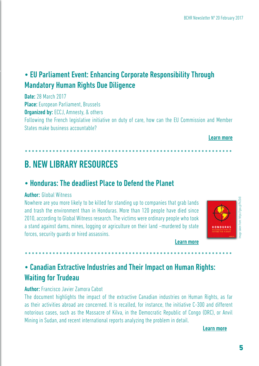# • EU Parliament Event: Enhancing Corporate Responsibility Through Mandatory Human Rights Due Diligence

Date: 28 March 2017 Place: European Parliament, Brussels **Organized by: ECCJ, Amnesty, & others** Following the French legislative initiative on duty of care, how can the EU Commission and Member States make business accountable?

#### [Learn more](http://tinyurl.com/h79uljg)

# B. NEW LIBRARY RESOURCES

# • Honduras: The deadliest Place to Defend the Planet

#### Author: Global Witness

Nowhere are you more likely to be killed for standing up to companies that grab lands and trash the environment than in Honduras. More than 120 people have died since 2010, according to Global Witness research. The victims were ordinary people who took a stand against dams, mines, logging or agriculture on their land –murdered by state forces, security guards or hired assassins.



[Learn more](https://goo.gl/9nZOr0 )

# • Canadian Extractive Industries and Their Impact on Human Rights: Waiting for Trudeau

#### Author: Francisco Javier Zamora Cabot

The document highlights the impact of the extractive Canadian industries on Human Rights, as far as their activities abroad are concerned. It is recalled, for instance, the initiative C-300 and different notorious cases, such as the Massacre of Kilva, in the Democratic Republic of Congo (DRC), or Anvil Mining in Sudan, and recent international reports analyzing the problem in detail.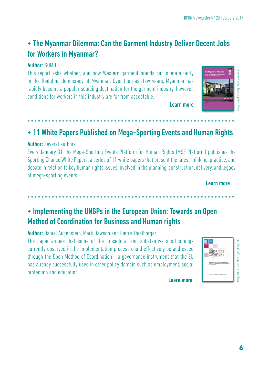# • The Myanmar Dilemma: Can the Garment Industry Deliver Decent Jobs for Workers in Myanmar?

### Author: SOMO

This report asks whether, and how Western garment brands can operate fairly in the fledgling democracy of Myanmar. Over the past few years, Myanmar has rapidly become a popular sourcing destination for the garment industry, however, conditions for workers in this industry are far from acceptable.



[Learn more](https://goo.gl/26NnBx )

[Learn more](https://goo.gl/ugnLcT )

# • 11 White Papers Published on Mega-Sporting Events and Human Rights

#### Author: Several authors

Every January 31, the Mega-Sporting Events Platform for Human Rights (MSE Platform) publishes the Sporting Chance White Papers, a series of 11 white papers that present the latest thinking, practice, and debate in relation to key human rights issues involved in the planning, construction, delivery, and legacy of mega-sporting events.

[Learn more](https://goo.gl/eErW6o )

# • Implementing the UNGPs in the European Union: Towards an Open Method of Coordination for Business and Human rights

Author: Daniel Augenstein, Mark Dawson and Pierre Thielbörger

The paper argues that some of the procedural and substantive shortcomings currently observed in the implementation process could effectively be addressed through the Open Method of Coordination – a governance instrument that the EU has already successfully used in other policy domain such as employment, social protection and education.

| $\frac{1}{2}$                                                   |  |
|-----------------------------------------------------------------|--|
| uman Rights                                                     |  |
| rm) publishes the<br>king, practice, and<br>elivery, and legacy |  |
| Learn more                                                      |  |
| n Open                                                          |  |
| WORKING<br>PAPERS                                               |  |
|                                                                 |  |
|                                                                 |  |

6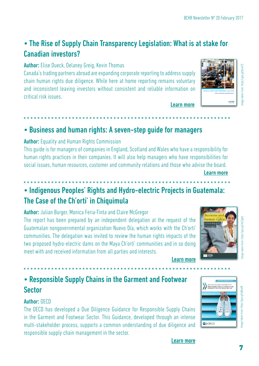nage

# • The Rise of Supply Chain Transparency Legislation: What is at stake for Canadian investors?

Author: Elise Dueck, Delaney Greig, Kevin Thomas

Canada's trading partners abroad are expanding corporate reporting to address supply chain human rights due diligence. While here at home reporting remains voluntary and inconsistent leaving investors without consistent and reliable information on critical risk issues.

# • Business and human rights: A seven-step guide for managers

### Author: Equality and Human Rights Commission

This guide is for managers of companies in England, Scotland and Wales who have a responsibility for human rights practices in their companies. It will also help managers who have responsibilities for social issues, human resources, customer and community relations and those who advise the board.

[Learn more](https://goo.gl/mLTgUd )

# • Indigenous Peoples' Rights and Hydro-electric Projects in Guatemala: The Case of the Ch'orti' in Chiquimula

Author: Julian Burger, Monica Feria-Tinta and Claire McGregor

The report has been prepared by an independent delegation at the request of the Guatemalan nongovernmental organization Nuevo Día, which works with the Ch'orti' communities. The delegation was invited to review the human rights impacts of the two proposed hydro-electric dams on the Maya Ch'orti' communities and in so doing meet with and received information from all parties and interests.

[Learn more](https://goo.gl/mLTgUd )

[Learn more](https://goo.gl/ejNxsM )

[Learn more](https://goo.gl/bsvk7S)

# • Responsible Supply Chains in the Garment and Footwear Sector

### Author: OFCD

The OECD has developed a Due Diligence Guidance for Responsible Supply Chains in the Garment and Footwear Sector. This Guidance, developed through an intense multi-stakeholder process, supports a common understanding of due diligence and responsible supply chain management in the sector.



taken from: https://goo.gl/ejNxsM



mage taken from: https://goo.gl/bsvk7S

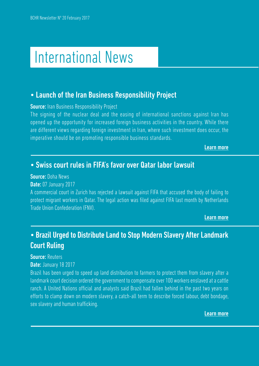# International News

## • Launch of the Iran Business Responsibility Project

#### **Source:** Iran Business Responsibility Project

The signing of the nuclear deal and the easing of international sanctions against Iran has opened up the opportunity for increased foreign business activities in the country. While there are different views regarding foreign investment in Iran, where such investment does occur, the imperative should be on promoting responsible business standards.

[Learn more](https://ibrproject.org/  )

## • Swiss court rules in FIFA's favor over Qatar labor lawsuit

#### Source: Doha News

Date: 07 January 2017

A commercial court in Zurich has rejected a lawsuit against FIFA that accused the body of failing to protect migrant workers in Qatar. The legal action was filed against FIFA last month by Netherlands Trade Union Confederation (FNV).

[Learn more](https://goo.gl/ZxLij0 )

# • Brazil Urged to Distribute Land to Stop Modern Slavery After Landmark Court Ruling

#### Source: Reuters

#### Date: January 18 2017

Brazil has been urged to speed up land distribution to farmers to protect them from slavery after a landmark court decision ordered the government to compensate over 100 workers enslaved at a cattle ranch. A United Nations official and analysts said Brazil had fallen behind in the past two years on efforts to clamp down on modern slavery, a catch-all term to describe forced labour, debt bondage, sex slavery and human trafficking.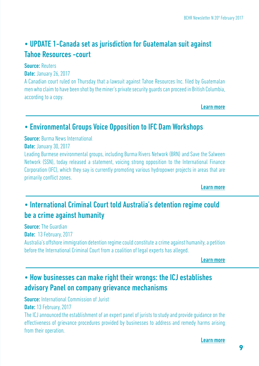# • UPDATE 1-Canada set as jurisdiction for Guatemalan suit against Tahoe Resources -court

**Source: Reuters** 

**Date: January 26, 2017** 

A Canadian court ruled on Thursday that a lawsuit against Tahoe Resources Inc. filed by Guatemalan men who claim to have been shot by the miner's private security guards can proceed in British Columbia, according to a copy.

[Learn more](https://goo.gl/YjCzYe )

# • Environmental Groups Voice Opposition to IFC Dam Workshops

Source: Burma News International

**Date: January 30, 2017** 

Leading Burmese environmental groups, including Burma Rivers Network (BRN) and Save the Salween Network (SSN), today released a statement, voicing strong opposition to the International Finance Corporation (IFC), which they say is currently promoting various hydropower projects in areas that are primarily conflict zones.

[Learn more](https://goo.gl/KCJFyn )

# • International Criminal Court told Australia's detention regime could be a crime against humanity

**Source: The Guardian** Date: 13 February, 2017 Australia's offshore immigration detention regime could constitute a crime against humanity, a petition before the International Criminal Court from a coalition of legal experts has alleged.

[Learn more](https://goo.gl/CHnSHT)

# • How businesses can make right their wrongs: the ICJ establishes advisory Panel on company grievance mechanisms

**Source:** International Commission of Jurist Date: 13 February, 2017

The ICJ announced the establishment of an expert panel of jurists to study and provide guidance on the effectiveness of grievance procedures provided by businesses to address and remedy harms arising from their operation.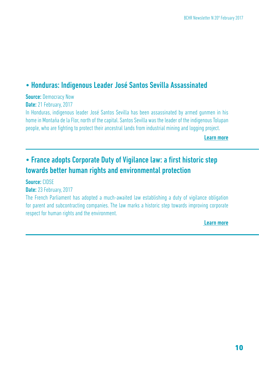# • Honduras: Indigenous Leader José Santos Sevilla Assassinated

### **Source: Democracy Now**

Date: 21 February, 2017

In Honduras, indigenous leader José Santos Sevilla has been assassinated by armed gunmen in his home in Montaña de la Flor, north of the capital. Santos Sevilla was the leader of the indigenous Tolupan people, who are fighting to protect their ancestral lands from industrial mining and logging project.

[Learn more](https://goo.gl/jAEYLS )

# • France adopts Corporate Duty of Vigilance law: a first historic step towards better human rights and environmental protection

Source: CIDSE

#### Date: 23 February, 2017

The French Parliament has adopted a much-awaited law establishing a duty of vigilance obligation for parent and subcontracting companies. The law marks a historic step towards improving corporate respect for human rights and the environment.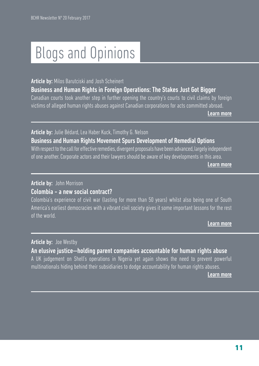# Blogs and Opinions

#### Article by: Milos Barutciski and Josh Scheinert

#### Business and Human Rights in Foreign Operations: The Stakes Just Got Bigger Canadian courts took another step in further opening the country's courts to civil claims by foreign

victims of alleged human rights abuses against Canadian corporations for acts committed abroad.

[Learn more](https://goo.gl/iiFzBi )

### Article by: Julie Bédard, Lea Haber Kuck, Timothy G. Nelson Business and Human Rights Movement Spurs Development of Remedial Options

With respect to the call for effective remedies, divergent proposals have been advanced, largely independent of one another. Corporate actors and their lawyers should be aware of key developments in this area.

[Learn more](https://goo.gl/1OYNQL)

#### Article by: John Morrison

#### Colombia - a new social contract?

Colombia's experience of civil war (lasting for more than 50 years) whilst also being one of South America's earliest democracies with a vibrant civil society gives it some important lessons for the rest of the world.

[Learn more](https://goo.gl/c5Y1Pr )

#### Article by: Joe Westby

#### An elusive justice—holding parent companies accountable for human rights abuse A UK judgement on Shell's operations in Nigeria yet again shows the need to prevent powerful multinationals hiding behind their subsidiaries to dodge accountability for human rights abuses.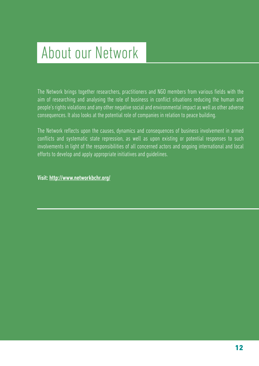# About our Network

The Network brings together researchers, practitioners and NGO members from various fields with the aim of researching and analysing the role of business in conflict situations reducing the human and people's rights violations and any other negative social and environmental impact as well as other adverse consequences. It also looks at the potential role of companies in relation to peace building.

The Network reflects upon the causes, dynamics and consequences of business involvement in armed conflicts and systematic state repression, as well as upon existing or potential responses to such involvements in light of the responsibilities of all concerned actors and ongoing international and local efforts to develop and apply appropriate initiatives and guidelines.

Visit: <http://www.networkbchr.org/>